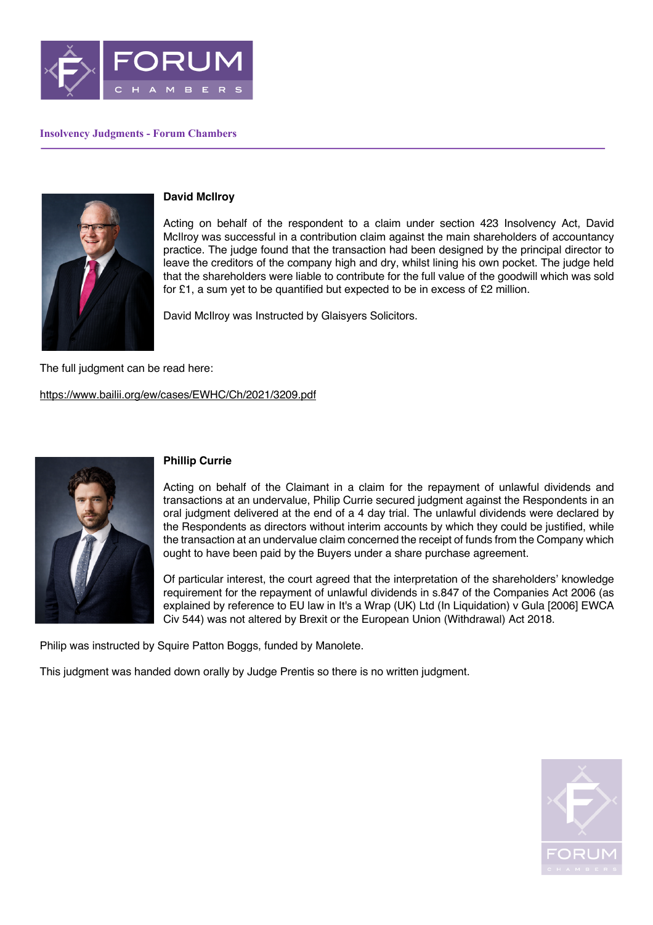

## **Insolvency Judgments - Forum Chambers**



## **David McIlroy**

Acting on behalf of the respondent to a claim under section 423 Insolvency Act, David McIlroy was successful in a contribution claim against the main shareholders of accountancy practice. The judge found that the transaction had been designed by the principal director to leave the creditors of the company high and dry, whilst lining his own pocket. The judge held that the shareholders were liable to contribute for the full value of the goodwill which was sold for £1, a sum yet to be quantified but expected to be in excess of £2 million.

David McIlroy was Instructed by Glaisyers Solicitors.

The full judgment can be read here:

https://www.bailii.org/ew/cases/EWHC/Ch/2021/3209.pdf



## **Phillip Currie**

Acting on behalf of the Claimant in a claim for the repayment of unlawful dividends and transactions at an undervalue, Philip Currie secured judgment against the Respondents in an oral judgment delivered at the end of a 4 day trial. The unlawful dividends were declared by the Respondents as directors without interim accounts by which they could be justified, while the transaction at an undervalue claim concerned the receipt of funds from the Company which ought to have been paid by the Buyers under a share purchase agreement.

Of particular interest, the court agreed that the interpretation of the shareholders' knowledge requirement for the repayment of unlawful dividends in s.847 of the Companies Act 2006 (as explained by reference to EU law in It's a Wrap (UK) Ltd (In Liquidation) v Gula [2006] EWCA Civ 544) was not altered by Brexit or the European Union (Withdrawal) Act 2018.

Philip was instructed by Squire Patton Boggs, funded by Manolete.

This judgment was handed down orally by Judge Prentis so there is no written judgment.

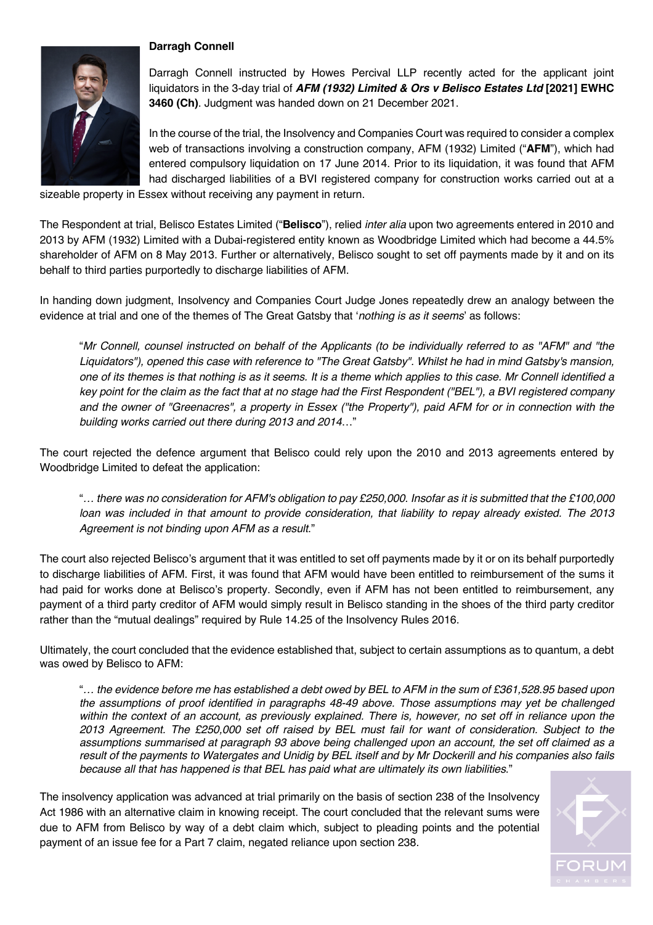## **Darragh Connell**



Darragh Connell instructed by Howes Percival LLP recently acted for the applicant joint liquidators in the 3-day trial of *AFM (1932) Limited & Ors v Belisco Estates Ltd* **[2021] EWHC 3460 (Ch)**. Judgment was handed down on 21 December 2021.

In the course of the trial, the Insolvency and Companies Court was required to consider a complex web of transactions involving a construction company, AFM (1932) Limited ("**AFM**"), which had entered compulsory liquidation on 17 June 2014. Prior to its liquidation, it was found that AFM had discharged liabilities of a BVI registered company for construction works carried out at a

sizeable property in Essex without receiving any payment in return.

The Respondent at trial, Belisco Estates Limited ("**Belisco**"), relied *inter alia* upon two agreements entered in 2010 and 2013 by AFM (1932) Limited with a Dubai-registered entity known as Woodbridge Limited which had become a 44.5% shareholder of AFM on 8 May 2013. Further or alternatively, Belisco sought to set off payments made by it and on its behalf to third parties purportedly to discharge liabilities of AFM.

In handing down judgment, Insolvency and Companies Court Judge Jones repeatedly drew an analogy between the evidence at trial and one of the themes of The Great Gatsby that '*nothing is as it seems*' as follows:

"*Mr Connell, counsel instructed on behalf of the Applicants (to be individually referred to as "AFM" and "the Liquidators"), opened this case with reference to "The Great Gatsby". Whilst he had in mind Gatsby's mansion, one of its themes is that nothing is as it seems. It is a theme which applies to this case. Mr Connell identified a key point for the claim as the fact that at no stage had the First Respondent ("BEL"), a BVI registered company and the owner of "Greenacres", a property in Essex ("the Property"), paid AFM for or in connection with the building works carried out there during 2013 and 2014*…"

The court rejected the defence argument that Belisco could rely upon the 2010 and 2013 agreements entered by Woodbridge Limited to defeat the application:

"*… there was no consideration for AFM's obligation to pay £250,000. Insofar as it is submitted that the £100,000 loan was included in that amount to provide consideration, that liability to repay already existed. The 2013 Agreement is not binding upon AFM as a result*."

The court also rejected Belisco's argument that it was entitled to set off payments made by it or on its behalf purportedly to discharge liabilities of AFM. First, it was found that AFM would have been entitled to reimbursement of the sums it had paid for works done at Belisco's property. Secondly, even if AFM has not been entitled to reimbursement, any payment of a third party creditor of AFM would simply result in Belisco standing in the shoes of the third party creditor rather than the "mutual dealings" required by Rule 14.25 of the Insolvency Rules 2016.

Ultimately, the court concluded that the evidence established that, subject to certain assumptions as to quantum, a debt was owed by Belisco to AFM:

"*… the evidence before me has established a debt owed by BEL to AFM in the sum of £361,528.95 based upon the assumptions of proof identified in paragraphs 48-49 above. Those assumptions may yet be challenged*  within the context of an account, as previously explained. There is, however, no set off in reliance upon the *2013 Agreement. The £250,000 set off raised by BEL must fail for want of consideration. Subject to the assumptions summarised at paragraph 93 above being challenged upon an account, the set off claimed as a result of the payments to Watergates and Unidig by BEL itself and by Mr Dockerill and his companies also fails because all that has happened is that BEL has paid what are ultimately its own liabilities*."

The insolvency application was advanced at trial primarily on the basis of section 238 of the Insolvency Act 1986 with an alternative claim in knowing receipt. The court concluded that the relevant sums were due to AFM from Belisco by way of a debt claim which, subject to pleading points and the potential payment of an issue fee for a Part 7 claim, negated reliance upon section 238.